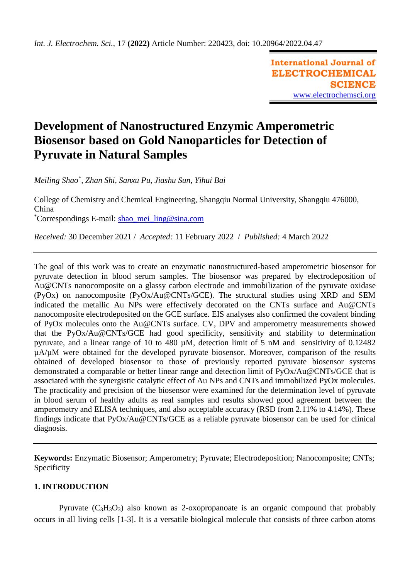**International Journal of ELECTROCHEMICAL SCIENCE** [www.electrochemsci.org](http://www.electrochemsci.org/)

# **Development of Nanostructured Enzymic Amperometric Biosensor based on Gold Nanoparticles for Detection of Pyruvate in Natural Samples**

*Meiling Shao\* , Zhan Shi, Sanxu Pu, Jiashu Sun, Yihui Bai*

College of Chemistry and Chemical Engineering, Shangqiu Normal University, Shangqiu 476000, China

\*Correspondings E-mail: [shao\\_mei\\_ling@sina.com](mailto:shao_mei_ling@sina.com)

*Received:* 30 December 2021 / *Accepted:* 11 February 2022 / *Published:* 4 March 2022

The goal of this work was to create an enzymatic nanostructured-based amperometric biosensor for pyruvate detection in blood serum samples. The biosensor was prepared by electrodeposition of Au@CNTs nanocomposite on a glassy carbon electrode and immobilization of the pyruvate oxidase (PyOx) on nanocomposite (PyOx/Au@CNTs/GCE). The structural studies using XRD and SEM indicated the metallic Au NPs were effectively decorated on the CNTs surface and Au@CNTs nanocomposite electrodeposited on the GCE surface. EIS analyses also confirmed the covalent binding of PyOx molecules onto the Au@CNTs surface. CV, DPV and amperometry measurements showed that the PyOx/Au@CNTs/GCE had good specificity, sensitivity and stability to determination pyruvate, and a linear range of 10 to 480 µM, detection limit of 5 nM and sensitivity of 0.12482 µA/µM were obtained for the developed pyruvate biosensor. Moreover, comparison of the results obtained of developed biosensor to those of previously reported pyruvate biosensor systems demonstrated a comparable or better linear range and detection limit of PyOx/Au@CNTs/GCE that is associated with the synergistic catalytic effect of Au NPs and CNTs and immobilized PyOx molecules. The practicality and precision of the biosensor were examined for the determination level of pyruvate in blood serum of healthy adults as real samples and results showed good agreement between the amperometry and ELISA techniques, and also acceptable accuracy (RSD from 2.11% to 4.14%). These findings indicate that PyOx/Au@CNTs/GCE as a reliable pyruvate biosensor can be used for clinical diagnosis.

**Keywords:** Enzymatic Biosensor; Amperometry; Pyruvate; Electrodeposition; Nanocomposite; CNTs; Specificity

# **1. INTRODUCTION**

Pyruvate  $(C_3H_3O_3)$  also known as 2-oxopropanoate is an organic compound that probably occurs in all living cells [\[1-3\]](#page-10-0). It is a versatile biological molecule that consists of three carbon atoms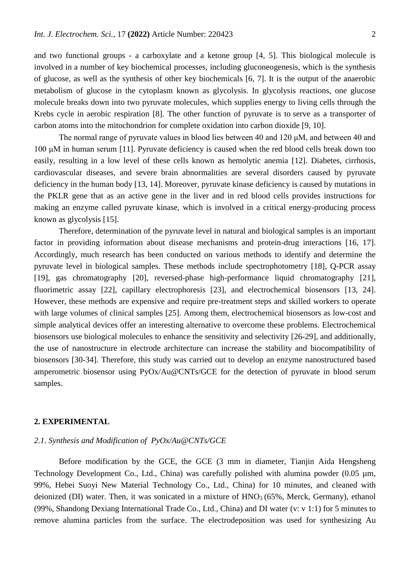and two functional groups - a carboxylate and a ketone group [\[4,](#page-10-1) [5\]](#page-10-2). This biological molecule is involved in a number of key biochemical processes, including gluconeogenesis, which is the synthesis of glucose, as well as the synthesis of other key biochemicals [\[6,](#page-11-0) [7\]](#page-11-1). It is the output of the anaerobic metabolism of glucose in the cytoplasm known as glycolysis. In glycolysis reactions, one glucose molecule breaks down into two pyruvate molecules*,* which supplies energy to living cells through the Krebs cycle in aerobic respiration [\[8\]](#page-11-2). The other function of pyruvate is to serve as a transporter of carbon atoms into the mitochondrion for complete oxidation into carbon dioxide [\[9,](#page-11-3) [10\]](#page-11-4).

The normal range of pyruvate values in blood lies between 40 and 120 μM, and between 40 and 100 μM in human serum [\[11\]](#page-11-5). Pyruvate deficiency is caused when the red blood cells break down too easily, resulting in a low level of these cells known as hemolytic anemia [\[12\]](#page-11-6). Diabetes, cirrhosis, cardiovascular diseases, and severe brain abnormalities are several disorders caused by pyruvate deficiency in the human body [\[13,](#page-11-7) [14\]](#page-11-8). Moreover, pyruvate kinase deficiency is caused by mutations in the PKLR gene that as an active gene in the liver and in red blood cells provides instructions for making an enzyme called pyruvate kinase, which is involved in a critical energy-producing process known as glycolysis [\[15\]](#page-11-9).

Therefore, determination of the pyruvate level in natural and biological samples is an important factor in providing information about disease mechanisms and protein-drug interactions [\[16,](#page-11-10) [17\]](#page-11-11). Accordingly, much research has been conducted on various methods to identify and determine the pyruvate level in biological samples. These methods include spectrophotometry [\[18\]](#page-11-12), Q-PCR assay [\[19\]](#page-11-13), gas chromatography [\[20\]](#page-11-14), reversed-phase high-performance liquid chromatography [\[21\]](#page-11-15), fluorimetric assay [\[22\]](#page-11-16), capillary electrophoresis [\[23\]](#page-11-17), and electrochemical biosensors [\[13,](#page-11-7) [24\]](#page-11-18). However, these methods are expensive and require pre-treatment steps and skilled workers to operate with large volumes of clinical samples [\[25\]](#page-11-19). Among them, electrochemical biosensors as low-cost and simple analytical devices offer an interesting alternative to overcome these problems. Electrochemical biosensors use biological molecules to enhance the sensitivity and selectivity [\[26-29\]](#page-11-20), and additionally, the use of nanostructure in electrode architecture can increase the stability and biocompatibility of biosensors [\[30-34\]](#page-11-21). Therefore, this study was carried out to develop an enzyme nanostructured based amperometric biosensor using PyOx/Au@CNTs/GCE for the detection of pyruvate in blood serum samples.

#### **2. EXPERIMENTAL**

## *2.1. Synthesis and Modification of PyOx/Au@CNTs/GCE*

Before modification by the GCE, the GCE (3 mm in diameter, Tianjin Aida Hengsheng Technology Development Co., Ltd., China) was carefully polished with alumina powder (0.05  $\mu$ m, 99%, Hebei Suoyi New Material Technology Co., Ltd., China) for 10 minutes, and cleaned with deionized (DI) water. Then, it was sonicated in a mixture of  $HNO<sub>3</sub>$  (65%, Merck, Germany), ethanol (99%, Shandong Dexiang International Trade Co., Ltd., China) and DI water (v: v 1:1) for 5 minutes to remove alumina particles from the surface. The electrodeposition was used for synthesizing Au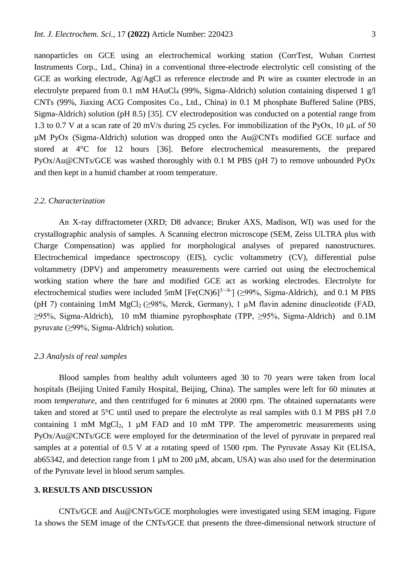nanoparticles on GCE using an electrochemical working station (CorrTest, Wuhan Corrtest Instruments Corp., Ltd., China) in a conventional three-electrode electrolytic cell consisting of the GCE as working electrode, Ag/AgCl as reference electrode and Pt wire as counter electrode in an electrolyte prepared from 0.1 mM HAuCl<sub>4</sub> (99%, Sigma-Aldrich) solution containing dispersed 1 g/l CNTs (99%, Jiaxing ACG Composites Co., Ltd., China) in 0.1 M phosphate Buffered Saline (PBS, Sigma-Aldrich) solution (pH 8.5) [\[35\]](#page-12-0). CV electrodeposition was conducted on a potential range from 1.3 to 0.7 V at a scan rate of 20 mV/s during 25 cycles. For immobilization of the PyOx, 10 μL of 50 µM PyOx (Sigma-Aldrich) solution was dropped onto the Au@CNTs modified GCE surface and stored at 4°C for 12 hours [\[36\]](#page-12-1). Before electrochemical measurements, the prepared PyOx/Au@CNTs/GCE was washed thoroughly with 0.1 M PBS (pH 7) to remove unbounded PyOx and then kept in a humid chamber at room temperature.

#### *2.2. Characterization*

An X-ray diffractometer (XRD; D8 advance; Bruker AXS, Madison, WI) was used for the crystallographic analysis of samples. A Scanning electron microscope (SEM, Zeiss ULTRA plus with Charge Compensation) was applied for morphological analyses of prepared nanostructures. Electrochemical impedance spectroscopy (EIS), cyclic voltammetry (CV), differential pulse voltammetry (DPV) and amperometry measurements were carried out using the electrochemical working station where the bare and modified GCE act as working electrodes. Electrolyte for electrochemical studies were included 5mM [Fe(CN)6]<sup>3-/4-</sup>] (≥99%, Sigma-Aldrich), and 0.1 M PBS (pH 7) containing 1mM  $MgCl_2$  ( $\geq$ 98%, Merck, Germany), 1 µM flavin adenine dinucleotide (FAD, ≥95%, Sigma-Aldrich), 10 mM thiamine pyrophosphate (TPP, ≥95%, Sigma-Aldrich) and 0.1M pyruvate (≥99%, Sigma-Aldrich) solution.

#### *2.3 Analysis of real samples*

Blood samples from healthy adult volunteers aged 30 to 70 years were taken from local hospitals (Beijing United Family Hospital, Beijing, China). The samples were left for 60 minutes at room *temperature*, and then centrifuged for 6 minutes at 2000 rpm. The obtained supernatants were taken and stored at 5°C until used to prepare the electrolyte as real samples with 0.1 M PBS pH 7.0 containing 1 mM  $MgCl<sub>2</sub>$ , 1 µM FAD and 10 mM TPP. The amperometric measurements using PyOx/Au@CNTs/GCE were employed for the determination of the level of pyruvate in prepared real samples at a potential of 0.5 V at a rotating speed of 1500 rpm. The Pyruvate Assay Kit (ELISA, ab65342, and detection range from 1  $\mu$ M to 200  $\mu$ M, abcam, USA) was also used for the determination of the Pyruvate level in blood serum samples.

## **3. RESULTS AND DISCUSSION**

CNTs/GCE and Au@CNTs/GCE morphologies were investigated using SEM imaging. Figure 1a shows the SEM image of the CNTs/GCE that presents the three-dimensional network structure of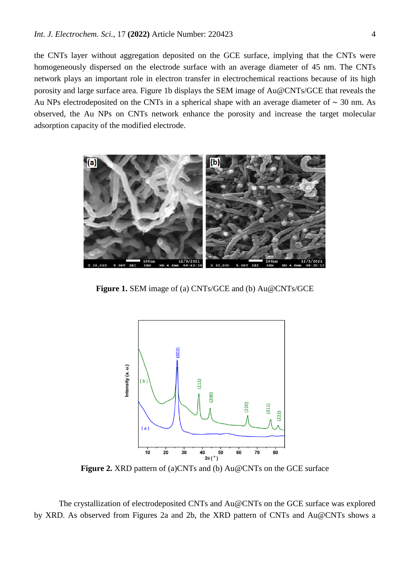the CNTs layer without aggregation deposited on the GCE surface, implying that the CNTs were homogeneously dispersed on the electrode surface with an average diameter of 45 nm. The CNTs network plays an important role in electron transfer in electrochemical reactions because of its high porosity and large surface area. Figure 1b displays the SEM image of Au@CNTs/GCE that reveals the Au NPs electrodeposited on the CNTs in a spherical shape with an average diameter of  $\sim$  30 nm. As observed, the Au NPs on CNTs network enhance the porosity and increase the target molecular adsorption capacity of the modified electrode.



**Figure 1.** SEM image of (a) CNTs/GCE and (b) Au@CNTs/GCE



**Figure 2.** XRD pattern of (a)CNTs and (b) Au@CNTs on the GCE surface

The crystallization of electrodeposited CNTs and Au@CNTs on the GCE surface was explored by XRD. As observed from Figures 2a and 2b, the XRD pattern of CNTs and Au@CNTs shows a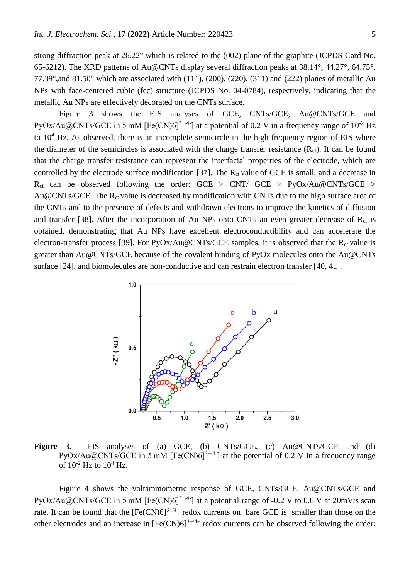strong diffraction peak at 26.22° which is related to the (002) plane of the graphite (JCPDS Card No. 65-6212). The XRD patterns of Au@CNTs display several diffraction peaks at 38.14°, 44.27°, 64.75°, 77.39°,and 81.50° which are associated with (111), (200), (220), (311) and (222) planes of metallic Au NPs with face-centered cubic (fcc) structure (JCPDS No. 04-0784), respectively, indicating that the metallic Au NPs are effectively decorated on the CNTs surface.

Figure 3 shows the EIS analyses of GCE, CNTs/GCE, Au@CNTs/GCE and PyOx/Au@CNTs/GCE in 5 mM [Fe(CN)6]<sup>3-/4-</sup>] at a potential of 0.2 V in a frequency range of  $10^{-2}$  Hz to  $10^4$  Hz. As observed, there is an incomplete semicircle in the high frequency region of EIS where the diameter of the semicircles is associated with the charge transfer resistance  $(R<sub>ct</sub>)$ . It can be found that the charge transfer resistance can represent the interfacial properties of the electrode, which are controlled by the electrode surface modification [\[37\]](#page-12-2). The  $R_{ct}$  value of GCE is small, and a decrease in  $R_{ct}$  can be observed following the order: GCE > CNT/ GCE > PyOx/Au@CNTs/GCE > Au@CNTs/GCE. The  $R_{ct}$  value is decreased by modification with CNTs due to the high surface area of the CNTs and to the presence of defects and withdrawn electrons to improve the kinetics of diffusion and transfer [\[38\]](#page-12-3). After the incorporation of Au NPs onto CNTs an even greater decrease of  $R<sub>ct</sub>$  is obtained, demonstrating that Au NPs have excellent electroconductibility and can accelerate the electron-transfer process [\[39\]](#page-12-4). For  $PyOx/Au@CNTs/GCE$  samples, it is observed that the  $R_{ct}$  value is greater than Au@CNTs/GCE because of the covalent binding of PyOx molecules onto the Au@CNTs surface [\[24\]](#page-11-18), and biomolecules are non-conductive and can restrain electron transfer [\[40,](#page-12-5) [41\]](#page-12-6).



Figure 3. EIS analyses of (a) GCE, (b) CNTs/GCE, (c) Au@CNTs/GCE and (d)  $PyOx/Au@CNTs/GCE$  in 5 mM [Fe(CN)6]<sup>3-/4-</sup>] at the potential of 0.2 V in a frequency range of  $10^{-2}$  Hz to  $10^{4}$  Hz.

Figure 4 shows the voltammometric response of GCE, CNTs/GCE, Au@CNTs/GCE and  $PyOx/Au@CNTs/GCE$  in 5 mM [Fe(CN)6]<sup>3-/4-</sup>] at a potential range of -0.2 V to 0.6 V at 20mV/s scan rate. It can be found that the  $[Fe(CN)6]^{3-/4-}$  redox currents on bare GCE is smaller than those on the other electrodes and an increase in  $[Fe(CN)6]^{3-/4-}$  redox currents can be observed following the order: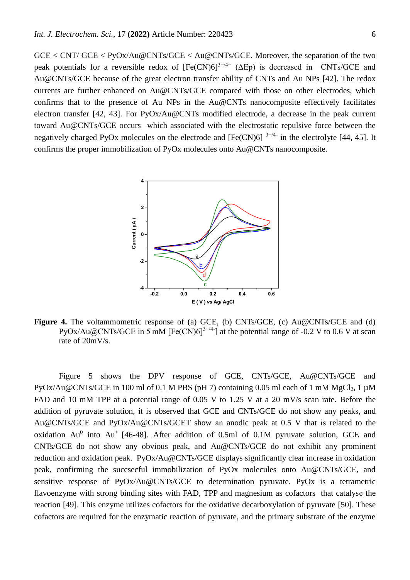GCE < CNT/ GCE < PyOx/Au@CNTs/GCE < Au@CNTs/GCE. Moreover, the separation of the two peak potentials for a reversible redox of  $[Fe(CN)6]^{3-4-}$  ( $\Delta Ep$ ) is decreased in CNTs/GCE and Au@CNTs/GCE because of the great electron transfer ability of CNTs and Au NPs [\[42\]](#page-12-7). The redox currents are further enhanced on Au@CNTs/GCE compared with those on other electrodes, which confirms that to the presence of Au NPs in the Au@CNTs nanocomposite effectively facilitates electron transfer [\[42,](#page-12-7) [43\]](#page-12-8). For PyOx/Au@CNTs modified electrode, a decrease in the peak current toward Au@CNTs/GCE occurs which associated with the electrostatic repulsive force between the negatively charged PyOx molecules on the electrode and  $[Fe(CN)6]$ <sup>3-/4-</sup> in the electrolyte [\[44,](#page-12-9) [45\]](#page-12-10). It confirms the proper immobilization of PyOx molecules onto Au@CNTs nanocomposite.



**Figure 4.** The voltammometric response of (a) GCE, (b) CNTs/GCE, (c) Au@CNTs/GCE and (d) PyOx/Au@CNTs/GCE in 5 mM [Fe(CN)6]<sup>3-/4-</sup>] at the potential range of -0.2 V to 0.6 V at scan rate of 20mV/s.

Figure 5 shows the DPV response of GCE, CNTs/GCE, Au@CNTs/GCE and PyOx/Au@CNTs/GCE in 100 ml of 0.1 M PBS (pH 7) containing 0.05 ml each of 1 mM MgCl<sub>2</sub>, 1  $\mu$ M FAD and 10 mM TPP at a potential range of 0.05 V to 1.25 V at a 20 mV/s scan rate. Before the addition of pyruvate solution, it is observed that GCE and CNTs/GCE do not show any peaks, and Au@CNTs/GCE and PyOx/Au@CNTs/GCET show an anodic peak at 0.5 V that is related to the oxidation  $Au^0$  into  $Au^+$  [\[46-48\]](#page-12-11). After addition of 0.5ml of 0.1M pyruvate solution, GCE and CNTs/GCE do not show any obvious peak, and Au@CNTs/GCE do not exhibit any prominent reduction and oxidation peak. PyOx/Au@CNTs/GCE displays significantly clear increase in oxidation peak, confirming the succsecful immobilization of PyOx molecules onto Au@CNTs/GCE, and sensitive response of PyOx/Au@CNTs/GCE to determination pyruvate. PyOx is a tetrametric flavoenzyme with strong binding sites with FAD, TPP and magnesium as cofactors that catalyse the reaction [\[49\]](#page-12-12). This enzyme utilizes cofactors for the oxidative decarboxylation of pyruvate [\[50\]](#page-12-13). These cofactors are required for the enzymatic reaction of pyruvate, and the primary substrate of the enzyme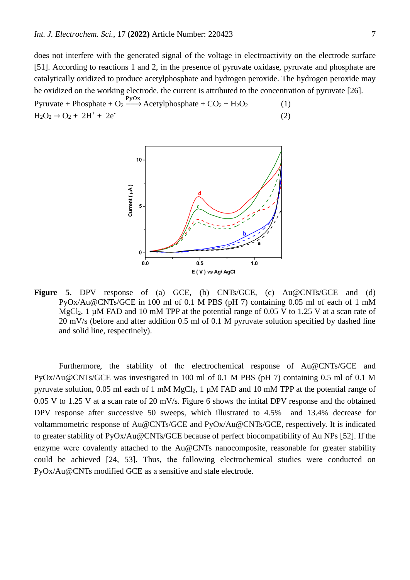does not interfere with the generated signal of the voltage in electroactivity on the electrode surface [\[51\]](#page-12-14). According to reactions 1 and 2, in the presence of pyruvate oxidase, pyruvate and phosphate are catalytically oxidized to produce acetylphosphate and hydrogen peroxide. The hydrogen peroxide may be oxidized on the working electrode. the current is attributed to the concentration of pyruvate [\[26\]](#page-11-20).

Pyruvate + Phosphate +  $O_2 \xrightarrow{PyOx}$  Acetylphosphate +  $CO_2$  +  $H_2O_2$  (1)  $H_2O_2 \rightarrow O_2 + 2H^+ + 2e^-$  (2)



Figure 5. DPV response of (a) GCE, (b) CNTs/GCE, (c) Au@CNTs/GCE and (d) PyOx/Au@CNTs/GCE in 100 ml of 0.1 M PBS (pH 7) containing 0.05 ml of each of 1 mM MgCl<sub>2</sub>, 1  $\mu$ M FAD and 10 mM TPP at the potential range of 0.05 V to 1.25 V at a scan rate of 20 mV/s (before and after addition 0.5 ml of 0.1 M pyruvate solution specified by dashed line and solid line, respectinely).

Furthermore, the stability of the electrochemical response of Au@CNTs/GCE and PyOx/Au@CNTs/GCE was investigated in 100 ml of 0.1 M PBS (pH 7) containing 0.5 ml of 0.1 M pyruvate solution, 0.05 ml each of 1 mM  $MgCl<sub>2</sub>$ , 1  $\mu$ M FAD and 10 mM TPP at the potential range of 0.05 V to 1.25 V at a scan rate of 20 mV/s. Figure 6 shows the intital DPV response and the obtained DPV response after successive 50 sweeps, which illustrated to 4.5% and 13.4% decrease for voltammometric response of Au@CNTs/GCE and PyOx/Au@CNTs/GCE, respectively. It is indicated to greater stability of PyOx/Au@CNTs/GCE because of perfect biocompatibility of Au NPs [\[52\]](#page-12-15). If the enzyme were covalently attached to the Au@CNTs nanocomposite, reasonable for greater stability could be achieved [\[24,](#page-11-18) [53\]](#page-12-16). Thus, the following electrochemical studies were conducted on PyOx/Au@CNTs modified GCE as a sensitive and stale electrode.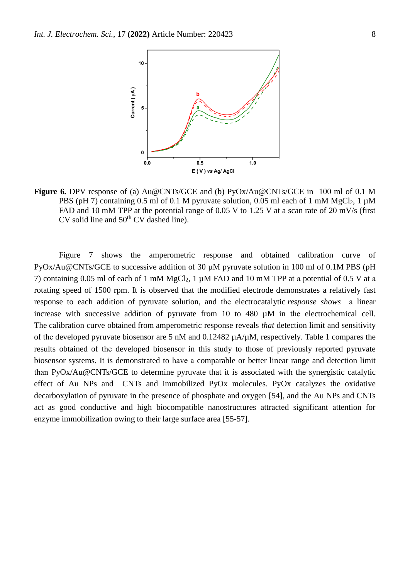

**Figure 6.** DPV response of (a) Au@CNTs/GCE and (b) PyOx/Au@CNTs/GCE in 100 ml of 0.1 M PBS (pH 7) containing 0.5 ml of 0.1 M pyruvate solution, 0.05 ml each of 1 mM MgCl<sub>2</sub>, 1  $\mu$ M FAD and 10 mM TPP at the potential range of 0.05 V to 1.25 V at a scan rate of 20 mV/s (first  $CV$  solid line and  $50<sup>th</sup> CV$  dashed line).

Figure 7 shows the amperometric response and obtained calibration curve of PyOx/Au@CNTs/GCE to successive addition of 30  $\mu$ M pyruvate solution in 100 ml of 0.1M PBS (pH 7) containing 0.05 ml of each of 1 mM MgCl<sub>2</sub>, 1  $\mu$ M FAD and 10 mM TPP at a potential of 0.5 V at a rotating speed of 1500 rpm. It is observed that the modified electrode demonstrates a relatively fast response to each addition of pyruvate solution, and the electrocatalytic *response shows* a linear increase with successive addition of pyruvate from 10 to 480 µM in the electrochemical cell. The calibration curve obtained from amperometric response reveals *that* detection limit and sensitivity of the developed pyruvate biosensor are 5 nM and 0.12482 µA/µM, respectively*.* Table 1 compares the results obtained of the developed biosensor in this study to those of previously reported pyruvate biosensor systems. It is demonstrated to have a comparable or better linear range and detection limit than PyOx/Au@CNTs/GCE to determine pyruvate that it is associated with the synergistic catalytic effect of Au NPs and CNTs and immobilized PyOx molecules. PyOx catalyzes the oxidative decarboxylation of pyruvate in the presence of phosphate and oxygen [\[54\]](#page-12-17), and the Au NPs and CNTs act as good conductive and high biocompatible nanostructures attracted significant attention for enzyme immobilization owing to their large surface area [\[55-57\]](#page-12-18).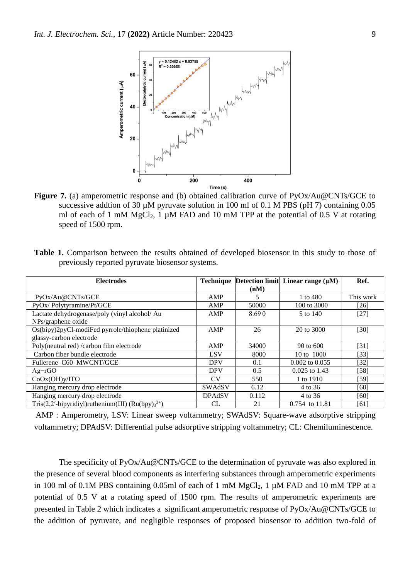

**Figure 7.** (a) amperometric response and (b) obtained calibration curve of PyOx/Au@CNTs/GCE to successive addtion of 30  $\mu$ M pyruvate solution in 100 ml of 0.1 M PBS (pH 7) containing 0.05 ml of each of 1 mM MgCl<sub>2</sub>, 1  $\mu$ M FAD and 10 mM TPP at the potential of 0.5 V at rotating speed of 1500 rpm.

|                                                  |  |  |  | <b>Table 1.</b> Comparison between the results obtained of developed biosensor in this study to those of |  |  |  |  |
|--------------------------------------------------|--|--|--|----------------------------------------------------------------------------------------------------------|--|--|--|--|
| previously reported pyruvate biosens or systems. |  |  |  |                                                                                                          |  |  |  |  |

| <b>Electrodes</b>                                       |               |       | Technique Detection limit Linear range $(\mu M)$ | Ref.      |
|---------------------------------------------------------|---------------|-------|--------------------------------------------------|-----------|
|                                                         |               | (nM)  |                                                  |           |
| PyOx/Au@CNTs/GCE                                        | AMP           | 5     | 1 to 480                                         | This work |
| PyOx/Polytyramine/Pt/GCE                                | AMP           | 50000 | 100 to 3000                                      | [26]      |
| Lactate dehydrogenase/poly (vinyl alcohol/ Au           | AMP           | 8.690 | 5 to 140                                         | $[27]$    |
| NPs/graphene oxide                                      |               |       |                                                  |           |
| Os(bipy)2pyCl-modiFed pyrrole/thiophene platinized      | AMP           | 26    | 20 to 3000                                       | [30]      |
| glassy-carbon electrode                                 |               |       |                                                  |           |
| Poly(neutral red) /carbon film electrode                | AMP           | 34000 | 90 to 600                                        | [31]      |
| Carbon fiber bundle electrode                           | <b>LSV</b>    | 8000  | 10 to 1000                                       | $[33]$    |
| Fullerene-C60-MWCNT/GCE                                 | <b>DPV</b>    | 0.1   | $0.002$ to $0.055$                               | [32]      |
| $Ag-rGO$                                                | <b>DPV</b>    | 0.5   | $0.025$ to 1.43                                  | [58]      |
| CoOx(OH)y/ITO                                           | CV            | 550   | 1 to 1910                                        | [59]      |
| Hanging mercury drop electrode                          | <b>SWAdSV</b> | 6.12  | 4 to 36                                          | [60]      |
| Hanging mercury drop electrode                          | <b>DPAdSV</b> | 0.112 | 4 to 36                                          | [60]      |
| Tris(2,2'-bipyridiyl)ruthenium(III) (Ru(bpy) $3^{3+}$ ) | CL            | 21    | 0.754 to 11.81                                   | [61]      |

AMP : Amperometry, LSV: Linear sweep voltammetry; SWAdSV: Square-wave adsorptive stripping voltammetry; DPAdSV: Differential pulse adsorptive stripping voltammetry; CL: Chemiluminescence.

The specificity of PyOx/Au@CNTs/GCE to the determination of pyruvate was also explored in the presence of several blood components as interfering substances through amperometric experiments in 100 ml of 0.1M PBS containing 0.05ml of each of 1 mM  $MgCl<sub>2</sub>$ , 1 µM FAD and 10 mM TPP at a potential of 0.5 V at a rotating speed of 1500 rpm. The results of amperometric experiments are presented in Table 2 which indicates a significant amperometric response of PyOx/Au@CNTs/GCE to the addition of pyruvate, and negligible responses of proposed biosensor to addition two-fold of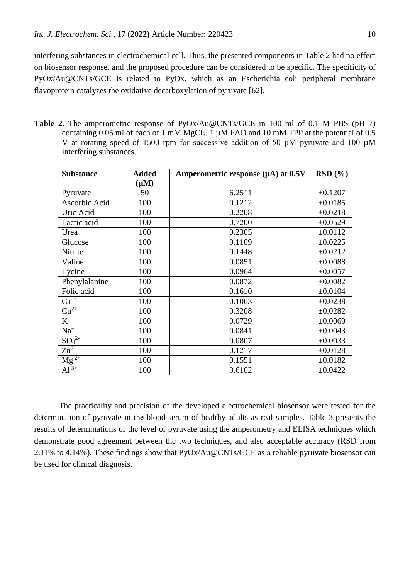interfering substances in electrochemical cell. Thus, the presented components in Table 2 had no effect on biosensor response, and the proposed procedure can be considered to be specific. The specificity of PyOx/Au@CNTs/GCE is related to PyOx, which as an Escherichia coli peripheral membrane flavoprotein catalyzes the oxidative decarboxylation of pyruvate [\[62\]](#page-12-23).

**Table 2.** The amperometric response of PyOx/Au@CNTs/GCE in 100 ml of 0.1 M PBS (pH 7) containing 0.05 ml of each of 1 mM  $MgCl<sub>2</sub>$ , 1  $\mu$ M FAD and 10 mM TPP at the potential of 0.5 V at rotating speed of 1500 rpm for successive addition of 50 µM pyruvate and 100 µM interfering substances.

| <b>Substance</b>             | <b>Added</b> | Amperometric response $(\mu A)$ at 0.5V | RSD(%)       |
|------------------------------|--------------|-----------------------------------------|--------------|
|                              | $(\mu M)$    |                                         |              |
| Pyruvate                     | 50           | 6.2511                                  | ±0.1207      |
| Ascorbic Acid                | 100          | 0.1212                                  | ±0.0185      |
| Uric Acid                    | 100          | 0.2208                                  | ±0.0218      |
| Lactic acid                  | 100          | 0.7200                                  | ±0.0529      |
| Urea                         | 100          | 0.2305                                  | ±0.0112      |
| Glucose                      | 100          | 0.1109                                  | ±0.0225      |
| Nitrite                      | 100          | 0.1448                                  | ±0.0212      |
| Valine                       | 100          | 0.0851                                  | ±0.0088      |
| Lycine                       | 100          | 0.0964                                  | ±0.0057      |
| Phenylalanine                | 100          | 0.0872                                  | ±0.0082      |
| Folic acid                   | 100          | 0.1610                                  | ±0.0104      |
| $Ca^{2+}$                    | 100          | 0.1063                                  | ±0.0238      |
| $Cu2+$                       | 100          | 0.3208                                  | ±0.0282      |
| $\overline{K^+}$             | 100          | 0.0729                                  | ±0.0069      |
| $Na+$                        | 100          | 0.0841                                  | ±0.0043      |
| SO <sub>4</sub> <sup>2</sup> | 100          | 0.0807                                  | ±0.0033      |
| $Zn^{2+}$                    | 100          | 0.1217                                  | ±0.0128      |
| $\frac{Mg^{2+}}{Al^{3+}}$    | 100          | 0.1551                                  | ±0.0182      |
|                              | 100          | 0.6102                                  | $\pm 0.0422$ |

The practicality and precision of the developed electrochemical biosensor were tested for the determination of pyruvate in the blood serum of healthy adults as real samples. Table 3 presents the results of determinations of the level of pyruvate using the amperometry and ELISA techniques which demonstrate good agreement between the two techniques, and also acceptable accuracy (RSD from 2.11% to 4.14%). These findings show that PyOx/Au@CNTs/GCE as a reliable pyruvate biosensor can be used for clinical diagnosis.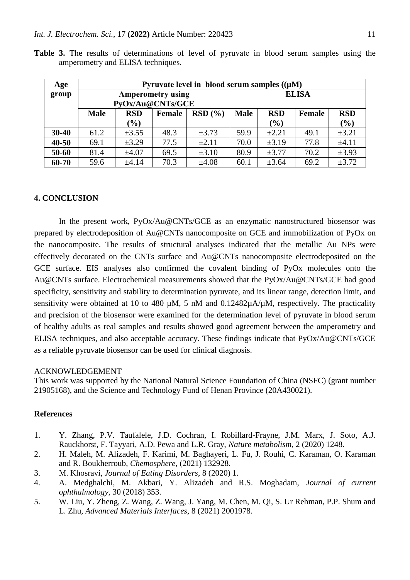| Age       | Pyruvate level in blood serum samples $((\mu M))$    |                  |                          |            |              |            |        |            |  |  |  |
|-----------|------------------------------------------------------|------------------|--------------------------|------------|--------------|------------|--------|------------|--|--|--|
| group     |                                                      | PyOx/Au@CNTs/GCE | <b>Amperometry using</b> |            | <b>ELISA</b> |            |        |            |  |  |  |
|           | <b>Male</b><br>RSD(%)<br><b>RSD</b><br><b>Female</b> |                  |                          |            | <b>Male</b>  | <b>RSD</b> | Female | <b>RSD</b> |  |  |  |
|           |                                                      | $(\%)$           |                          |            |              | $(\%)$     |        | (%)        |  |  |  |
| $30 - 40$ | 61.2                                                 | $\pm 3.55$       | 48.3                     | $\pm 3.73$ | 59.9         | $\pm 2.21$ | 49.1   | $\pm 3.21$ |  |  |  |
| $40 - 50$ | 69.1                                                 | $\pm 3.29$       | 77.5                     | ±2.11      | 70.0         | $\pm 3.19$ | 77.8   | ±4.11      |  |  |  |
| 50-60     | 81.4                                                 | $\pm 4.07$       | 69.5                     | $\pm 3.10$ | 80.9         | $\pm 3.77$ | 70.2   | $\pm 3.93$ |  |  |  |
| 60-70     | 59.6                                                 | ±4.14            | 70.3                     | ±4.08      | 60.1         | $\pm 3.64$ | 69.2   | $\pm 3.72$ |  |  |  |

**Table 3.** The results of determinations of level of pyruvate in blood serum samples using the amperometry and ELISA techniques.

## **4. CONCLUSION**

In the present work, PyOx/Au@CNTs/GCE as an enzymatic nanostructured biosensor was prepared by electrodeposition of Au@CNTs nanocomposite on GCE and immobilization of PyOx on the nanocomposite. The results of structural analyses indicated that the metallic Au NPs were effectively decorated on the CNTs surface and Au@CNTs nanocomposite electrodeposited on the GCE surface. EIS analyses also confirmed the covalent binding of PyOx molecules onto the Au@CNTs surface. Electrochemical measurements showed that the PyOx/Au@CNTs/GCE had good specificity, sensitivity and stability to determination pyruvate, and its linear range, detection limit, and sensitivity were obtained at 10 to 480  $\mu$ M, 5 nM and 0.12482 $\mu$ A/ $\mu$ M, respectively. The practicality and precision of the biosensor were examined for the determination level of pyruvate in blood serum of healthy adults as real samples and results showed good agreement between the amperometry and ELISA techniques, and also acceptable accuracy. These findings indicate that PyOx/Au@CNTs/GCE as a reliable pyruvate biosensor can be used for clinical diagnosis.

#### ACKNOWLEDGEMENT

This work was supported by the National Natural Science Foundation of China (NSFC) (grant number 21905168), and the Science and Technology Fund of Henan Province (20A430021).

## **References**

- <span id="page-10-0"></span>1. Y. Zhang, P.V. Taufalele, J.D. Cochran, I. Robillard-Frayne, J.M. Marx, J. Soto, A.J. Rauckhorst, F. Tayyari, A.D. Pewa and L.R. Gray, *Nature metabolism*, 2 (2020) 1248.
- 2. H. Maleh, M. Alizadeh, F. Karimi, M. Baghayeri, L. Fu, J. Rouhi, C. Karaman, O. Karaman and R. Boukherroub, *Chemosphere*, (2021) 132928.
- 3. M. Khosravi, *Journal of Eating Disorders*, 8 (2020) 1.
- <span id="page-10-1"></span>4. A. Medghalchi, M. Akbari, Y. Alizadeh and R.S. Moghadam, *Journal of current ophthalmology*, 30 (2018) 353.
- <span id="page-10-2"></span>5. W. Liu, Y. Zheng, Z. Wang, Z. Wang, J. Yang, M. Chen, M. Qi, S. Ur Rehman, P.P. Shum and L. Zhu, *Advanced Materials Interfaces*, 8 (2021) 2001978.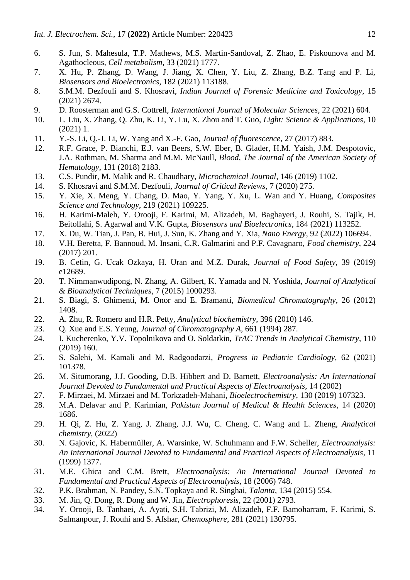- <span id="page-11-0"></span>6. S. Jun, S. Mahesula, T.P. Mathews, M.S. Martin-Sandoval, Z. Zhao, E. Piskounova and M. Agathocleous, *Cell metabolism*, 33 (2021) 1777.
- <span id="page-11-1"></span>7. X. Hu, P. Zhang, D. Wang, J. Jiang, X. Chen, Y. Liu, Z. Zhang, B.Z. Tang and P. Li, *Biosensors and Bioelectronics*, 182 (2021) 113188.
- <span id="page-11-2"></span>8. S.M.M. Dezfouli and S. Khosravi, *Indian Journal of Forensic Medicine and Toxicology*, 15 (2021) 2674.
- <span id="page-11-3"></span>9. D. Roosterman and G.S. Cottrell, *International Journal of Molecular Sciences*, 22 (2021) 604.
- <span id="page-11-4"></span>10. L. Liu, X. Zhang, Q. Zhu, K. Li, Y. Lu, X. Zhou and T. Guo, *Light: Science & Applications*, 10 (2021) 1.
- <span id="page-11-5"></span>11. Y.-S. Li, Q.-J. Li, W. Yang and X.-F. Gao, *Journal of fluorescence*, 27 (2017) 883.
- <span id="page-11-6"></span>12. R.F. Grace, P. Bianchi, E.J. van Beers, S.W. Eber, B. Glader, H.M. Yaish, J.M. Despotovic, J.A. Rothman, M. Sharma and M.M. McNaull, *Blood, The Journal of the American Society of Hematology*, 131 (2018) 2183.
- <span id="page-11-7"></span>13. C.S. Pundir, M. Malik and R. Chaudhary, *Microchemical Journal*, 146 (2019) 1102.
- <span id="page-11-8"></span>14. S. Khosravi and S.M.M. Dezfouli, *Journal of Critical Reviews*, 7 (2020) 275.
- <span id="page-11-9"></span>15. Y. Xie, X. Meng, Y. Chang, D. Mao, Y. Yang, Y. Xu, L. Wan and Y. Huang, *Composites Science and Technology*, 219 (2021) 109225.
- <span id="page-11-10"></span>16. H. Karimi-Maleh, Y. Orooji, F. Karimi, M. Alizadeh, M. Baghayeri, J. Rouhi, S. Tajik, H. Beitollahi, S. Agarwal and V.K. Gupta, *Biosensors and Bioelectronics*, 184 (2021) 113252.
- <span id="page-11-11"></span>17. X. Du, W. Tian, J. Pan, B. Hui, J. Sun, K. Zhang and Y. Xia, *Nano Energy*, 92 (2022) 106694.
- <span id="page-11-12"></span>18. V.H. Beretta, F. Bannoud, M. Insani, C.R. Galmarini and P.F. Cavagnaro, *Food chemistry*, 224 (2017) 201.
- <span id="page-11-13"></span>19. B. Cetin, G. Ucak Ozkaya, H. Uran and M.Z. Durak, *Journal of Food Safety*, 39 (2019) e12689.
- <span id="page-11-14"></span>20. T. Nimmanwudipong, N. Zhang, A. Gilbert, K. Yamada and N. Yoshida, *Journal of Analytical & Bioanalytical Techniques*, 7 (2015) 1000293.
- <span id="page-11-15"></span>21. S. Biagi, S. Ghimenti, M. Onor and E. Bramanti, *Biomedical Chromatography*, 26 (2012) 1408.
- <span id="page-11-16"></span>22. A. Zhu, R. Romero and H.R. Petty, *Analytical biochemistry*, 396 (2010) 146.
- <span id="page-11-17"></span>23. Q. Xue and E.S. Yeung, *Journal of Chromatography A*, 661 (1994) 287.
- <span id="page-11-18"></span>24. I. Kucherenko, Y.V. Topolnikova and O. Soldatkin, *TrAC Trends in Analytical Chemistry*, 110 (2019) 160.
- <span id="page-11-19"></span>25. S. Salehi, M. Kamali and M. Radgoodarzi, *Progress in Pediatric Cardiology*, 62 (2021) 101378.
- <span id="page-11-20"></span>26. M. Situmorang, J.J. Gooding, D.B. Hibbert and D. Barnett, *Electroanalysis: An International Journal Devoted to Fundamental and Practical Aspects of Electroanalysis*, 14 (2002)
- <span id="page-11-22"></span>27. F. Mirzaei, M. Mirzaei and M. Torkzadeh-Mahani, *Bioelectrochemistry*, 130 (2019) 107323.
- 28. M.A. Delavar and P. Karimian, *Pakistan Journal of Medical & Health Sciences*, 14 (2020) 1686.
- 29. H. Qi, Z. Hu, Z. Yang, J. Zhang, J.J. Wu, C. Cheng, C. Wang and L. Zheng, *Analytical chemistry*, (2022)
- <span id="page-11-21"></span>30. N. Gajovic, K. Habermüller, A. Warsinke, W. Schuhmann and F.W. Scheller, *Electroanalysis: An International Journal Devoted to Fundamental and Practical Aspects of Electroanalysis*, 11 (1999) 1377.
- <span id="page-11-23"></span>31. M.E. Ghica and C.M. Brett, *Electroanalysis: An International Journal Devoted to Fundamental and Practical Aspects of Electroanalysis*, 18 (2006) 748.
- <span id="page-11-25"></span>32. P.K. Brahman, N. Pandey, S.N. Topkaya and R. Singhai, *Talanta*, 134 (2015) 554.
- <span id="page-11-24"></span>33. M. Jin, Q. Dong, R. Dong and W. Jin, *Electrophoresis*, 22 (2001) 2793.
- 34. Y. Orooji, B. Tanhaei, A. Ayati, S.H. Tabrizi, M. Alizadeh, F.F. Bamoharram, F. Karimi, S. Salmanpour, J. Rouhi and S. Afshar, *Chemosphere*, 281 (2021) 130795.